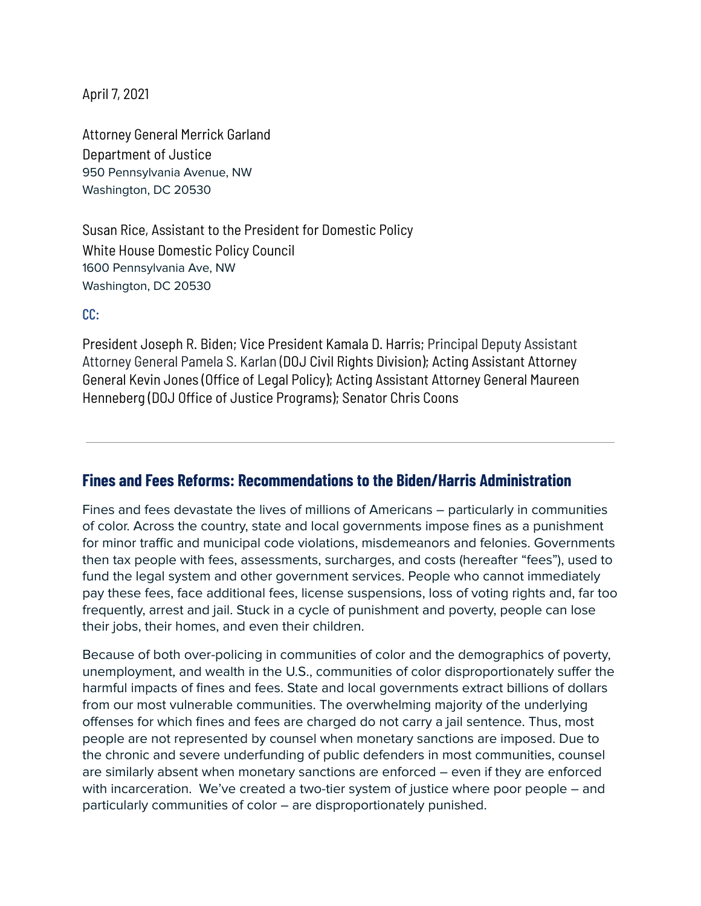April 7, 2021

Attorney General Merrick Garland Department of Justice 950 Pennsylvania Avenue, NW Washington, DC 20530

Susan Rice, Assistant to the President for Domestic Policy White House Domestic Policy Council 1600 Pennsylvania Ave, NW Washington, DC 20530

CC:

President Joseph R. Biden; Vice President Kamala D. Harris; Principal Deputy Assistant Attorney General Pamela S. Karlan (DOJ Civil Rights Division); Acting Assistant Attorney General Kevin Jones (Office of Legal Policy); Acting Assistant Attorney General Maureen Henneberg (DOJ Office of Justice Programs); Senator Chris Coons

## **Fines and Fees Reforms: Recommendations to the Biden/Harris Administration**

Fines and fees devastate the lives of millions of Americans – particularly in communities of color. Across the country, state and local governments impose fines as a punishment for minor traffic and municipal code violations, misdemeanors and felonies. Governments then tax people with fees, assessments, surcharges, and costs (hereafter "fees"), used to fund the legal system and other government services. People who cannot immediately pay these fees, face additional fees, license suspensions, loss of voting rights and, far too frequently, arrest and jail. Stuck in a cycle of punishment and poverty, people can lose their jobs, their homes, and even their children.

Because of both over-policing in communities of color and the demographics of poverty, unemployment, and wealth in the U.S., communities of color disproportionately suffer the harmful impacts of fines and fees. State and local governments extract billions of dollars from our most vulnerable communities. The overwhelming majority of the underlying offenses for which fines and fees are charged do not carry a jail sentence. Thus, most people are not represented by counsel when monetary sanctions are imposed. Due to the chronic and severe underfunding of public defenders in most communities, counsel are similarly absent when monetary sanctions are enforced – even if they are enforced with incarceration. We've created a two-tier system of justice where poor people – and particularly communities of color – are disproportionately punished.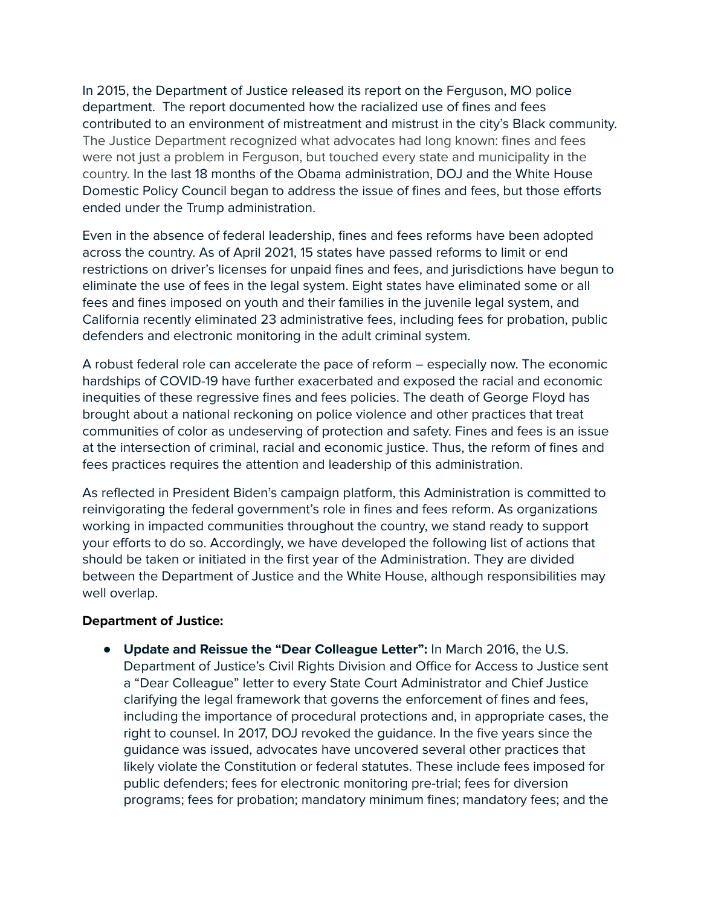In 2015, the Department of Justice released its report on the Ferguson, MO police department. The report documented how the racialized use of fines and fees contributed to an environment of mistreatment and mistrust in the city's Black community. The Justice Department recognized what advocates had long known: fines and fees were not just a problem in Ferguson, but touched every state and municipality in the country. In the last 18 months of the Obama administration, DOJ and the White House Domestic Policy Council began to address the issue of fines and fees, but those efforts ended under the Trump administration.

Even in the absence of federal leadership, fines and fees reforms have been adopted across the country. As of April 2021, 15 states have passed reforms to limit or end restrictions on driver's licenses for unpaid fines and fees, and jurisdictions have begun to eliminate the use of fees in the legal system. Eight states have eliminated some or all fees and fines imposed on youth and their families in the juvenile legal system, and California recently eliminated 23 administrative fees, including fees for probation, public defenders and electronic monitoring in the adult criminal system.

A robust federal role can accelerate the pace of reform – especially now. The economic hardships of COVID-19 have further exacerbated and exposed the racial and economic inequities of these regressive fines and fees policies. The death of George Floyd has brought about a national reckoning on police violence and other practices that treat communities of color as undeserving of protection and safety. Fines and fees is an issue at the intersection of criminal, racial and economic justice. Thus, the reform of fines and fees practices requires the attention and leadership of this administration.

As reflected in President Biden's campaign platform, this Administration is committed to reinvigorating the federal government's role in fines and fees reform. As organizations working in impacted communities throughout the country, we stand ready to support your efforts to do so. Accordingly, we have developed the following list of actions that should be taken or initiated in the first year of the Administration. They are divided between the Department of Justice and the White House, although responsibilities may well overlap.

## **Department of Justice:**

● **Update and Reissue the "Dear Colleague Letter":** In March 2016, the U.S. Department of Justice's Civil Rights Division and Office for Access to Justice sent a "Dear Colleague" letter to every State Court Administrator and Chief Justice clarifying the legal framework that governs the enforcement of fines and fees, including the importance of procedural protections and, in appropriate cases, the right to counsel. In 2017, DOJ revoked the guidance. In the five years since the guidance was issued, advocates have uncovered several other practices that likely violate the Constitution or federal statutes. These include fees imposed for public defenders; fees for electronic monitoring pre-trial; fees for diversion programs; fees for probation; mandatory minimum fines; mandatory fees; and the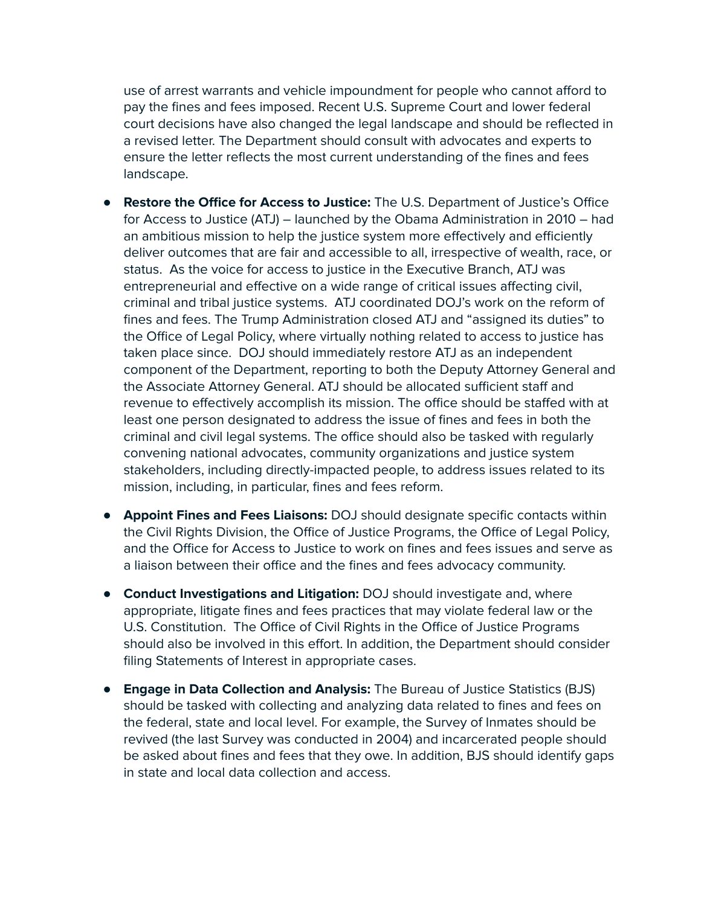use of arrest warrants and vehicle impoundment for people who cannot afford to pay the fines and fees imposed. Recent U.S. Supreme Court and lower federal court decisions have also changed the legal landscape and should be reflected in a revised letter. The Department should consult with advocates and experts to ensure the letter reflects the most current understanding of the fines and fees landscape.

- **Restore the Office for Access to Justice:** The U.S. Department of Justice's Office for Access to Justice (ATJ) – launched by the Obama Administration in 2010 – had an ambitious mission to help the justice system more effectively and efficiently deliver outcomes that are fair and accessible to all, irrespective of wealth, race, or status. As the voice for access to justice in the Executive Branch, ATJ was entrepreneurial and effective on a wide range of critical issues affecting civil, criminal and tribal justice systems. ATJ coordinated DOJ's work on the reform of fines and fees. The Trump Administration closed ATJ and "assigned its duties" to the Office of Legal Policy, where virtually nothing related to access to justice has taken place since. DOJ should immediately restore ATJ as an independent component of the Department, reporting to both the Deputy Attorney General and the Associate Attorney General. ATJ should be allocated sufficient staff and revenue to effectively accomplish its mission. The office should be staffed with at least one person designated to address the issue of fines and fees in both the criminal and civil legal systems. The office should also be tasked with regularly convening national advocates, community organizations and justice system stakeholders, including directly-impacted people, to address issues related to its mission, including, in particular, fines and fees reform.
- **Appoint Fines and Fees Liaisons:** DOJ should designate specific contacts within the Civil Rights Division, the Office of Justice Programs, the Office of Legal Policy, and the Office for Access to Justice to work on fines and fees issues and serve as a liaison between their office and the fines and fees advocacy community.
- **Conduct Investigations and Litigation:** DOJ should investigate and, where appropriate, litigate fines and fees practices that may violate federal law or the U.S. Constitution. The Office of Civil Rights in the Office of Justice Programs should also be involved in this effort. In addition, the Department should consider filing Statements of Interest in appropriate cases.
- **Engage in Data Collection and Analysis:** The Bureau of Justice Statistics (BJS) should be tasked with collecting and analyzing data related to fines and fees on the federal, state and local level. For example, the Survey of Inmates should be revived (the last Survey was conducted in 2004) and incarcerated people should be asked about fines and fees that they owe. In addition, BJS should identify gaps in state and local data collection and access.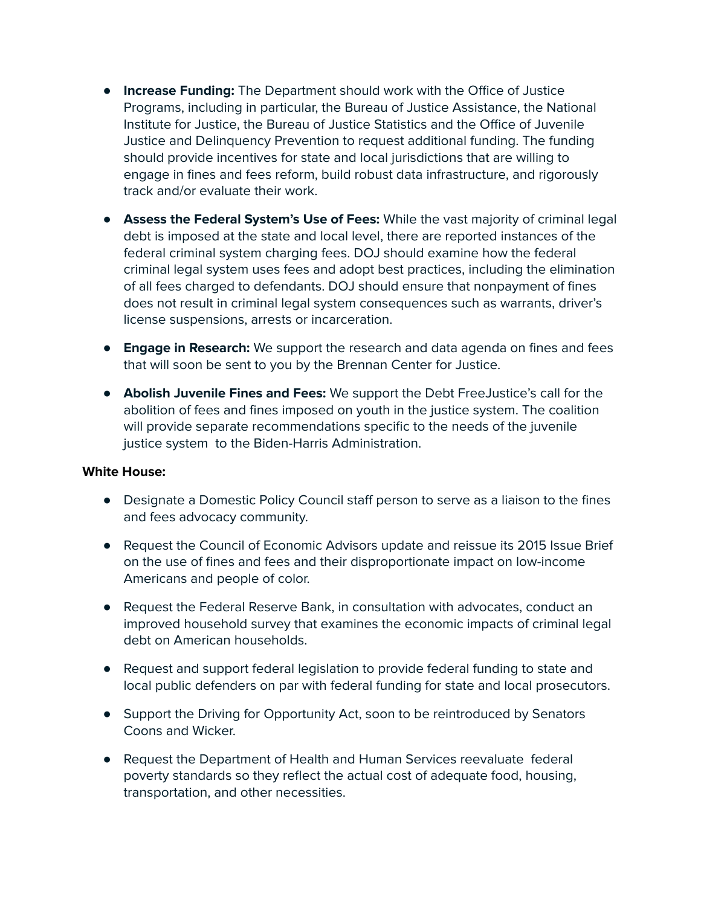- **Increase Funding:** The Department should work with the Office of Justice Programs, including in particular, the Bureau of Justice Assistance, the National Institute for Justice, the Bureau of Justice Statistics and the Office of Juvenile Justice and Delinquency Prevention to request additional funding. The funding should provide incentives for state and local jurisdictions that are willing to engage in fines and fees reform, build robust data infrastructure, and rigorously track and/or evaluate their work.
- **Assess the Federal System's Use of Fees:** While the vast majority of criminal legal debt is imposed at the state and local level, there are reported instances of the federal criminal system charging fees. DOJ should examine how the federal criminal legal system uses fees and adopt best practices, including the elimination of all fees charged to defendants. DOJ should ensure that nonpayment of fines does not result in criminal legal system consequences such as warrants, driver's license suspensions, arrests or incarceration.
- **Engage in Research:** We support the research and data agenda on fines and fees that will soon be sent to you by the Brennan Center for Justice.
- **Abolish Juvenile Fines and Fees:** We support the Debt FreeJustice's call for the abolition of fees and fines imposed on youth in the justice system. The coalition will provide separate recommendations specific to the needs of the juvenile justice system to the Biden-Harris Administration.

## **White House:**

- Designate a Domestic Policy Council staff person to serve as a liaison to the fines and fees advocacy community.
- Request the Council of Economic Advisors update and reissue its 2015 Issue Brief on the use of fines and fees and their disproportionate impact on low-income Americans and people of color.
- Request the Federal Reserve Bank, in consultation with advocates, conduct an improved household survey that examines the economic impacts of criminal legal debt on American households.
- Request and support federal legislation to provide federal funding to state and local public defenders on par with federal funding for state and local prosecutors.
- Support the Driving for Opportunity Act, soon to be reintroduced by Senators Coons and Wicker.
- Request the Department of Health and Human Services reevaluate federal poverty standards so they reflect the actual cost of adequate food, housing, transportation, and other necessities.